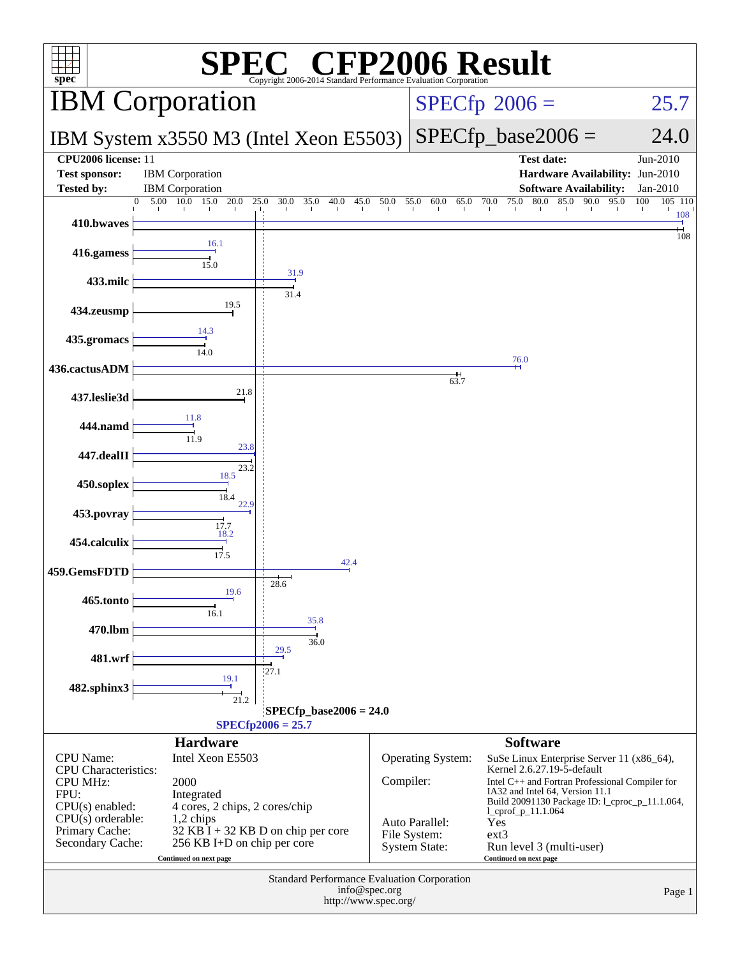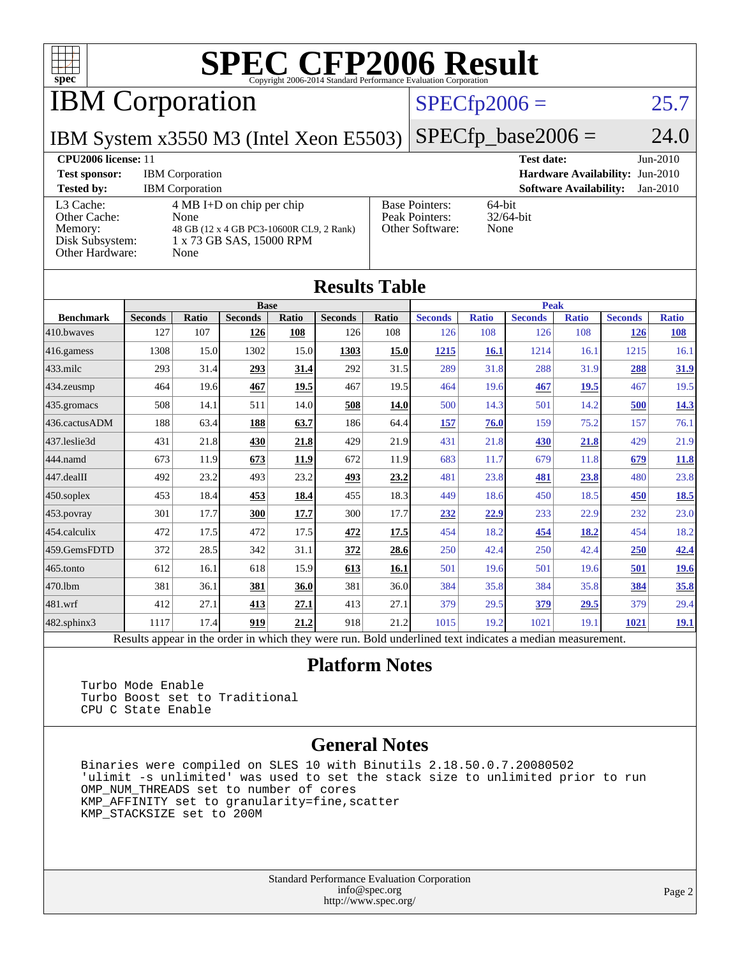

IBM Corporation

#### $SPECfp2006 = 25.7$  $SPECfp2006 = 25.7$

IBM System x3550 M3 (Intel Xeon E5503)

 $SPECfp\_base2006 = 24.0$ 

#### **[CPU2006 license:](http://www.spec.org/auto/cpu2006/Docs/result-fields.html#CPU2006license)** 11 **[Test date:](http://www.spec.org/auto/cpu2006/Docs/result-fields.html#Testdate)** Jun-2010 **[Test sponsor:](http://www.spec.org/auto/cpu2006/Docs/result-fields.html#Testsponsor)** IBM Corporation **[Hardware Availability:](http://www.spec.org/auto/cpu2006/Docs/result-fields.html#HardwareAvailability)** Jun-2010 **[Tested by:](http://www.spec.org/auto/cpu2006/Docs/result-fields.html#Testedby)** IBM Corporation **[Software Availability:](http://www.spec.org/auto/cpu2006/Docs/result-fields.html#SoftwareAvailability)** Jan-2010 [L3 Cache:](http://www.spec.org/auto/cpu2006/Docs/result-fields.html#L3Cache) 4 MB I+D on chip per chip [Other Cache:](http://www.spec.org/auto/cpu2006/Docs/result-fields.html#OtherCache) [Memory:](http://www.spec.org/auto/cpu2006/Docs/result-fields.html#Memory) 48 GB (12 x 4 GB PC3-10600R CL9, 2 Rank) [Disk Subsystem:](http://www.spec.org/auto/cpu2006/Docs/result-fields.html#DiskSubsystem) 1 x 73 GB SAS, 15000 RPM [Other Hardware:](http://www.spec.org/auto/cpu2006/Docs/result-fields.html#OtherHardware) None [Base Pointers:](http://www.spec.org/auto/cpu2006/Docs/result-fields.html#BasePointers) 64-bit<br>Peak Pointers: 32/64-bit [Peak Pointers:](http://www.spec.org/auto/cpu2006/Docs/result-fields.html#PeakPointers) [Other Software:](http://www.spec.org/auto/cpu2006/Docs/result-fields.html#OtherSoftware) None

| <b>Results Table</b>                                                                                     |                |              |                |       |                |       |                |              |                |              |                |              |
|----------------------------------------------------------------------------------------------------------|----------------|--------------|----------------|-------|----------------|-------|----------------|--------------|----------------|--------------|----------------|--------------|
|                                                                                                          | <b>Base</b>    |              |                |       |                |       | <b>Peak</b>    |              |                |              |                |              |
| <b>Benchmark</b>                                                                                         | <b>Seconds</b> | <b>Ratio</b> | <b>Seconds</b> | Ratio | <b>Seconds</b> | Ratio | <b>Seconds</b> | <b>Ratio</b> | <b>Seconds</b> | <b>Ratio</b> | <b>Seconds</b> | <b>Ratio</b> |
| 410.bwayes                                                                                               | 127            | 107          | 126            | 108   | 126            | 108   | 126            | 108          | 126            | 108          | 126            | 108          |
| 416.gamess                                                                                               | 1308           | 15.0         | 1302           | 15.0  | 1303           | 15.0  | 1215           | 16.1         | 1214           | 16.1         | 1215           | 16.1         |
| $433$ .milc                                                                                              | 293            | 31.4         | 293            | 31.4  | 292            | 31.5  | 289            | 31.8         | 288            | 31.9         | 288            | 31.9         |
| $434$ . zeusmp                                                                                           | 464            | 19.6         | 467            | 19.5  | 467            | 19.5  | 464            | 19.6         | 467            | 19.5         | 467            | 19.5         |
| $435.$ gromacs                                                                                           | 508            | 14.1         | 511            | 14.0  | 508            | 14.0  | 500            | 14.3         | 501            | 14.2         | 500            | 14.3         |
| 436.cactusADM                                                                                            | 188            | 63.4         | 188            | 63.7  | 186            | 64.4  | 157            | 76.0         | 159            | 75.2         | 157            | 76.1         |
| 437.leslie3d                                                                                             | 431            | 21.8         | 430            | 21.8  | 429            | 21.9  | 431            | 21.8         | 430            | 21.8         | 429            | 21.9         |
| 444.namd                                                                                                 | 673            | 11.9         | 673            | 11.9  | 672            | 11.9  | 683            | 11.7         | 679            | 11.8         | 679            | <b>11.8</b>  |
| $447$ .dealII                                                                                            | 492            | 23.2         | 493            | 23.2  | 493            | 23.2  | 481            | 23.8         | <u>481</u>     | 23.8         | 480            | 23.8         |
| $450$ .soplex                                                                                            | 453            | 18.4         | 453            | 18.4  | 455            | 18.3  | 449            | 18.6         | 450            | 18.5         | 450            | 18.5         |
| $453$ .povray                                                                                            | 301            | 17.7         | 300            | 17.7  | 300            | 17.7  | 232            | 22.9         | 233            | 22.9         | 232            | 23.0         |
| $ 454$ .calculix                                                                                         | 472            | 17.5         | 472            | 17.5  | 472            | 17.5  | 454            | 18.2         | 454            | 18.2         | 454            | 18.2         |
| 459.GemsFDTD                                                                                             | 372            | 28.5         | 342            | 31.1  | 372            | 28.6  | 250            | 42.4         | 250            | 42.4         | 250            | 42.4         |
| $465$ .tonto                                                                                             | 612            | 16.1         | 618            | 15.9  | 613            | 16.1  | 501            | 19.6         | 501            | 19.6         | 501            | <u>19.6</u>  |
| 470.1bm                                                                                                  | 381            | 36.1         | 381            | 36.0  | 381            | 36.0  | 384            | 35.8         | 384            | 35.8         | 384            | 35.8         |
| $ 481$ .wrf                                                                                              | 412            | 27.1         | 413            | 27.1  | 413            | 27.1  | 379            | 29.5         | <u>379</u>     | 29.5         | 379            | 29.4         |
| 482.sphinx3                                                                                              | 1117           | 17.4         | 919            | 21.2  | 918            | 21.2  | 1015           | 19.2         | 1021           | 19.1         | 1021           | <u>19.1</u>  |
| Results appear in the order in which they were run. Bold underlined text indicates a median measurement. |                |              |                |       |                |       |                |              |                |              |                |              |

#### **[Platform Notes](http://www.spec.org/auto/cpu2006/Docs/result-fields.html#PlatformNotes)**

 Turbo Mode Enable Turbo Boost set to Traditional CPU C State Enable

#### **[General Notes](http://www.spec.org/auto/cpu2006/Docs/result-fields.html#GeneralNotes)**

 Binaries were compiled on SLES 10 with Binutils 2.18.50.0.7.20080502 'ulimit -s unlimited' was used to set the stack size to unlimited prior to run OMP\_NUM\_THREADS set to number of cores KMP\_AFFINITY set to granularity=fine,scatter KMP\_STACKSIZE set to 200M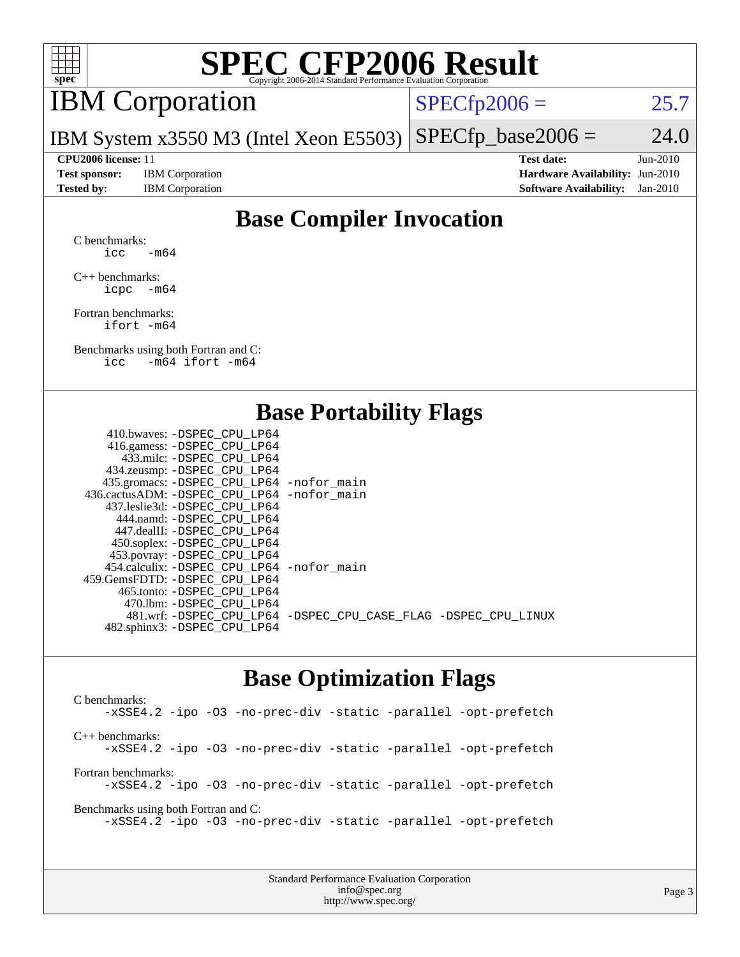

## IBM Corporation

 $SPECTp2006 = 25.7$ 

IBM System x3550 M3 (Intel Xeon E5503)  $SPECfp\_base2006 = 24.0$ 

**[Test sponsor:](http://www.spec.org/auto/cpu2006/Docs/result-fields.html#Testsponsor)** IBM Corporation **[Hardware Availability:](http://www.spec.org/auto/cpu2006/Docs/result-fields.html#HardwareAvailability)** Jun-2010

**[CPU2006 license:](http://www.spec.org/auto/cpu2006/Docs/result-fields.html#CPU2006license)** 11 **[Test date:](http://www.spec.org/auto/cpu2006/Docs/result-fields.html#Testdate)** Jun-2010 **[Tested by:](http://www.spec.org/auto/cpu2006/Docs/result-fields.html#Testedby)** IBM Corporation **[Software Availability:](http://www.spec.org/auto/cpu2006/Docs/result-fields.html#SoftwareAvailability)** Jan-2010

### **[Base Compiler Invocation](http://www.spec.org/auto/cpu2006/Docs/result-fields.html#BaseCompilerInvocation)**

[C benchmarks](http://www.spec.org/auto/cpu2006/Docs/result-fields.html#Cbenchmarks): icc  $-m64$ 

[C++ benchmarks:](http://www.spec.org/auto/cpu2006/Docs/result-fields.html#CXXbenchmarks) [icpc -m64](http://www.spec.org/cpu2006/results/res2010q3/cpu2006-20100719-12527.flags.html#user_CXXbase_intel_icpc_64bit_bedb90c1146cab66620883ef4f41a67e)

[Fortran benchmarks](http://www.spec.org/auto/cpu2006/Docs/result-fields.html#Fortranbenchmarks): [ifort -m64](http://www.spec.org/cpu2006/results/res2010q3/cpu2006-20100719-12527.flags.html#user_FCbase_intel_ifort_64bit_ee9d0fb25645d0210d97eb0527dcc06e)

[Benchmarks using both Fortran and C](http://www.spec.org/auto/cpu2006/Docs/result-fields.html#BenchmarksusingbothFortranandC): [icc -m64](http://www.spec.org/cpu2006/results/res2010q3/cpu2006-20100719-12527.flags.html#user_CC_FCbase_intel_icc_64bit_0b7121f5ab7cfabee23d88897260401c) [ifort -m64](http://www.spec.org/cpu2006/results/res2010q3/cpu2006-20100719-12527.flags.html#user_CC_FCbase_intel_ifort_64bit_ee9d0fb25645d0210d97eb0527dcc06e)

#### **[Base Portability Flags](http://www.spec.org/auto/cpu2006/Docs/result-fields.html#BasePortabilityFlags)**

| 410.bwaves: -DSPEC CPU LP64                 |                                                                |
|---------------------------------------------|----------------------------------------------------------------|
| 416.gamess: - DSPEC_CPU_LP64                |                                                                |
| 433.milc: -DSPEC CPU LP64                   |                                                                |
| 434.zeusmp: -DSPEC_CPU_LP64                 |                                                                |
| 435.gromacs: -DSPEC_CPU_LP64 -nofor_main    |                                                                |
| 436.cactusADM: -DSPEC CPU LP64 -nofor main  |                                                                |
| 437.leslie3d: -DSPEC CPU LP64               |                                                                |
| 444.namd: - DSPEC_CPU_LP64                  |                                                                |
| 447.dealII: -DSPEC CPU LP64                 |                                                                |
| 450.soplex: -DSPEC_CPU_LP64                 |                                                                |
| 453.povray: -DSPEC_CPU_LP64                 |                                                                |
| 454.calculix: - DSPEC CPU LP64 - nofor main |                                                                |
| 459.GemsFDTD: -DSPEC_CPU LP64               |                                                                |
| 465.tonto: - DSPEC_CPU LP64                 |                                                                |
| 470.1bm: - DSPEC CPU LP64                   |                                                                |
|                                             | 481.wrf: -DSPEC_CPU_LP64 -DSPEC_CPU_CASE_FLAG -DSPEC_CPU_LINUX |
| 482.sphinx3: -DSPEC_CPU_LP64                |                                                                |
|                                             |                                                                |

#### **[Base Optimization Flags](http://www.spec.org/auto/cpu2006/Docs/result-fields.html#BaseOptimizationFlags)**

[C benchmarks](http://www.spec.org/auto/cpu2006/Docs/result-fields.html#Cbenchmarks): [-xSSE4.2](http://www.spec.org/cpu2006/results/res2010q3/cpu2006-20100719-12527.flags.html#user_CCbase_f-xSSE42_f91528193cf0b216347adb8b939d4107) [-ipo](http://www.spec.org/cpu2006/results/res2010q3/cpu2006-20100719-12527.flags.html#user_CCbase_f-ipo) [-O3](http://www.spec.org/cpu2006/results/res2010q3/cpu2006-20100719-12527.flags.html#user_CCbase_f-O3) [-no-prec-div](http://www.spec.org/cpu2006/results/res2010q3/cpu2006-20100719-12527.flags.html#user_CCbase_f-no-prec-div) [-static](http://www.spec.org/cpu2006/results/res2010q3/cpu2006-20100719-12527.flags.html#user_CCbase_f-static) [-parallel](http://www.spec.org/cpu2006/results/res2010q3/cpu2006-20100719-12527.flags.html#user_CCbase_f-parallel) [-opt-prefetch](http://www.spec.org/cpu2006/results/res2010q3/cpu2006-20100719-12527.flags.html#user_CCbase_f-opt-prefetch) [C++ benchmarks:](http://www.spec.org/auto/cpu2006/Docs/result-fields.html#CXXbenchmarks) [-xSSE4.2](http://www.spec.org/cpu2006/results/res2010q3/cpu2006-20100719-12527.flags.html#user_CXXbase_f-xSSE42_f91528193cf0b216347adb8b939d4107) [-ipo](http://www.spec.org/cpu2006/results/res2010q3/cpu2006-20100719-12527.flags.html#user_CXXbase_f-ipo) [-O3](http://www.spec.org/cpu2006/results/res2010q3/cpu2006-20100719-12527.flags.html#user_CXXbase_f-O3) [-no-prec-div](http://www.spec.org/cpu2006/results/res2010q3/cpu2006-20100719-12527.flags.html#user_CXXbase_f-no-prec-div) [-static](http://www.spec.org/cpu2006/results/res2010q3/cpu2006-20100719-12527.flags.html#user_CXXbase_f-static) [-parallel](http://www.spec.org/cpu2006/results/res2010q3/cpu2006-20100719-12527.flags.html#user_CXXbase_f-parallel) [-opt-prefetch](http://www.spec.org/cpu2006/results/res2010q3/cpu2006-20100719-12527.flags.html#user_CXXbase_f-opt-prefetch) [Fortran benchmarks](http://www.spec.org/auto/cpu2006/Docs/result-fields.html#Fortranbenchmarks): [-xSSE4.2](http://www.spec.org/cpu2006/results/res2010q3/cpu2006-20100719-12527.flags.html#user_FCbase_f-xSSE42_f91528193cf0b216347adb8b939d4107) [-ipo](http://www.spec.org/cpu2006/results/res2010q3/cpu2006-20100719-12527.flags.html#user_FCbase_f-ipo) [-O3](http://www.spec.org/cpu2006/results/res2010q3/cpu2006-20100719-12527.flags.html#user_FCbase_f-O3) [-no-prec-div](http://www.spec.org/cpu2006/results/res2010q3/cpu2006-20100719-12527.flags.html#user_FCbase_f-no-prec-div) [-static](http://www.spec.org/cpu2006/results/res2010q3/cpu2006-20100719-12527.flags.html#user_FCbase_f-static) [-parallel](http://www.spec.org/cpu2006/results/res2010q3/cpu2006-20100719-12527.flags.html#user_FCbase_f-parallel) [-opt-prefetch](http://www.spec.org/cpu2006/results/res2010q3/cpu2006-20100719-12527.flags.html#user_FCbase_f-opt-prefetch) [Benchmarks using both Fortran and C](http://www.spec.org/auto/cpu2006/Docs/result-fields.html#BenchmarksusingbothFortranandC): [-xSSE4.2](http://www.spec.org/cpu2006/results/res2010q3/cpu2006-20100719-12527.flags.html#user_CC_FCbase_f-xSSE42_f91528193cf0b216347adb8b939d4107) [-ipo](http://www.spec.org/cpu2006/results/res2010q3/cpu2006-20100719-12527.flags.html#user_CC_FCbase_f-ipo) [-O3](http://www.spec.org/cpu2006/results/res2010q3/cpu2006-20100719-12527.flags.html#user_CC_FCbase_f-O3) [-no-prec-div](http://www.spec.org/cpu2006/results/res2010q3/cpu2006-20100719-12527.flags.html#user_CC_FCbase_f-no-prec-div) [-static](http://www.spec.org/cpu2006/results/res2010q3/cpu2006-20100719-12527.flags.html#user_CC_FCbase_f-static) [-parallel](http://www.spec.org/cpu2006/results/res2010q3/cpu2006-20100719-12527.flags.html#user_CC_FCbase_f-parallel) [-opt-prefetch](http://www.spec.org/cpu2006/results/res2010q3/cpu2006-20100719-12527.flags.html#user_CC_FCbase_f-opt-prefetch)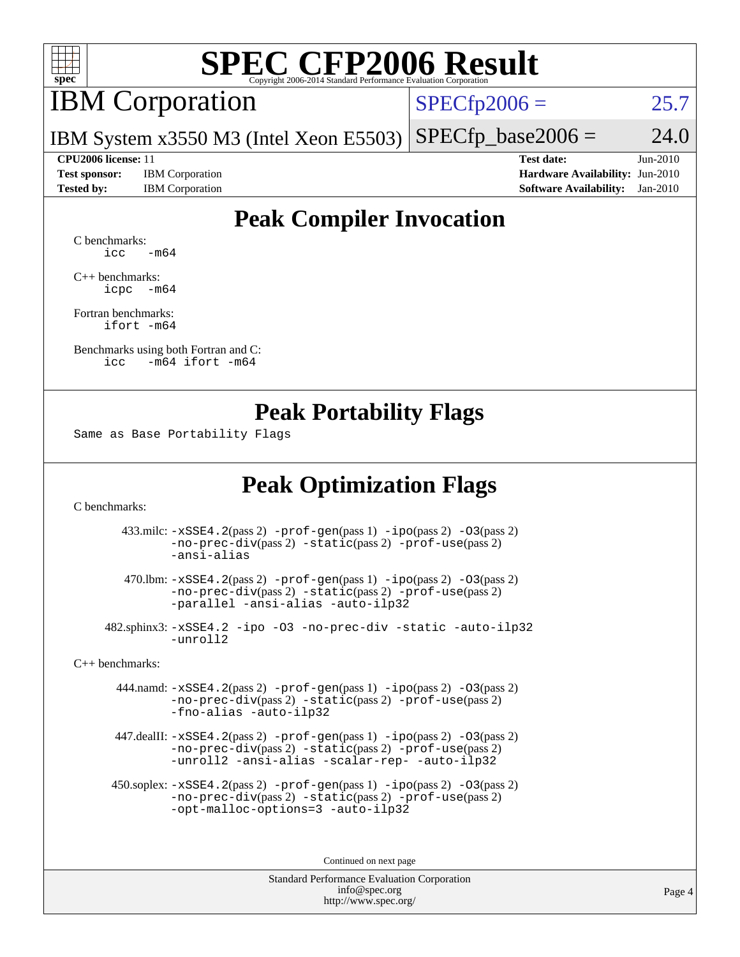

### IBM Corporation

 $SPECfp2006 = 25.7$  $SPECfp2006 = 25.7$ 

IBM System x3550 M3 (Intel Xeon E5503)  $SPECTp\_base2006 = 24.0$ 

**[Test sponsor:](http://www.spec.org/auto/cpu2006/Docs/result-fields.html#Testsponsor)** IBM Corporation **[Hardware Availability:](http://www.spec.org/auto/cpu2006/Docs/result-fields.html#HardwareAvailability)** Jun-2010

**[CPU2006 license:](http://www.spec.org/auto/cpu2006/Docs/result-fields.html#CPU2006license)** 11 **[Test date:](http://www.spec.org/auto/cpu2006/Docs/result-fields.html#Testdate)** Jun-2010 **[Tested by:](http://www.spec.org/auto/cpu2006/Docs/result-fields.html#Testedby)** IBM Corporation **[Software Availability:](http://www.spec.org/auto/cpu2006/Docs/result-fields.html#SoftwareAvailability)** Jan-2010

### **[Peak Compiler Invocation](http://www.spec.org/auto/cpu2006/Docs/result-fields.html#PeakCompilerInvocation)**

[C benchmarks](http://www.spec.org/auto/cpu2006/Docs/result-fields.html#Cbenchmarks):  $\text{icc}$   $-\text{m64}$ 

[C++ benchmarks:](http://www.spec.org/auto/cpu2006/Docs/result-fields.html#CXXbenchmarks) [icpc -m64](http://www.spec.org/cpu2006/results/res2010q3/cpu2006-20100719-12527.flags.html#user_CXXpeak_intel_icpc_64bit_bedb90c1146cab66620883ef4f41a67e)

[Fortran benchmarks](http://www.spec.org/auto/cpu2006/Docs/result-fields.html#Fortranbenchmarks): [ifort -m64](http://www.spec.org/cpu2006/results/res2010q3/cpu2006-20100719-12527.flags.html#user_FCpeak_intel_ifort_64bit_ee9d0fb25645d0210d97eb0527dcc06e)

[Benchmarks using both Fortran and C](http://www.spec.org/auto/cpu2006/Docs/result-fields.html#BenchmarksusingbothFortranandC): [icc -m64](http://www.spec.org/cpu2006/results/res2010q3/cpu2006-20100719-12527.flags.html#user_CC_FCpeak_intel_icc_64bit_0b7121f5ab7cfabee23d88897260401c) [ifort -m64](http://www.spec.org/cpu2006/results/res2010q3/cpu2006-20100719-12527.flags.html#user_CC_FCpeak_intel_ifort_64bit_ee9d0fb25645d0210d97eb0527dcc06e)

#### **[Peak Portability Flags](http://www.spec.org/auto/cpu2006/Docs/result-fields.html#PeakPortabilityFlags)**

Same as Base Portability Flags

#### **[Peak Optimization Flags](http://www.spec.org/auto/cpu2006/Docs/result-fields.html#PeakOptimizationFlags)**

[C benchmarks](http://www.spec.org/auto/cpu2006/Docs/result-fields.html#Cbenchmarks):

 433.milc: [-xSSE4.2](http://www.spec.org/cpu2006/results/res2010q3/cpu2006-20100719-12527.flags.html#user_peakPASS2_CFLAGSPASS2_LDFLAGS433_milc_f-xSSE42_f91528193cf0b216347adb8b939d4107)(pass 2) [-prof-gen](http://www.spec.org/cpu2006/results/res2010q3/cpu2006-20100719-12527.flags.html#user_peakPASS1_CFLAGSPASS1_LDFLAGS433_milc_prof_gen_e43856698f6ca7b7e442dfd80e94a8fc)(pass 1) [-ipo](http://www.spec.org/cpu2006/results/res2010q3/cpu2006-20100719-12527.flags.html#user_peakPASS2_CFLAGSPASS2_LDFLAGS433_milc_f-ipo)(pass 2) [-O3](http://www.spec.org/cpu2006/results/res2010q3/cpu2006-20100719-12527.flags.html#user_peakPASS2_CFLAGSPASS2_LDFLAGS433_milc_f-O3)(pass 2) [-no-prec-div](http://www.spec.org/cpu2006/results/res2010q3/cpu2006-20100719-12527.flags.html#user_peakPASS2_CFLAGSPASS2_LDFLAGS433_milc_f-no-prec-div)(pass 2) [-static](http://www.spec.org/cpu2006/results/res2010q3/cpu2006-20100719-12527.flags.html#user_peakPASS2_CFLAGSPASS2_LDFLAGS433_milc_f-static)(pass 2) [-prof-use](http://www.spec.org/cpu2006/results/res2010q3/cpu2006-20100719-12527.flags.html#user_peakPASS2_CFLAGSPASS2_LDFLAGS433_milc_prof_use_bccf7792157ff70d64e32fe3e1250b55)(pass 2) [-ansi-alias](http://www.spec.org/cpu2006/results/res2010q3/cpu2006-20100719-12527.flags.html#user_peakOPTIMIZE433_milc_f-ansi-alias)

 470.lbm: [-xSSE4.2](http://www.spec.org/cpu2006/results/res2010q3/cpu2006-20100719-12527.flags.html#user_peakPASS2_CFLAGSPASS2_LDFLAGS470_lbm_f-xSSE42_f91528193cf0b216347adb8b939d4107)(pass 2) [-prof-gen](http://www.spec.org/cpu2006/results/res2010q3/cpu2006-20100719-12527.flags.html#user_peakPASS1_CFLAGSPASS1_LDFLAGS470_lbm_prof_gen_e43856698f6ca7b7e442dfd80e94a8fc)(pass 1) [-ipo](http://www.spec.org/cpu2006/results/res2010q3/cpu2006-20100719-12527.flags.html#user_peakPASS2_CFLAGSPASS2_LDFLAGS470_lbm_f-ipo)(pass 2) [-O3](http://www.spec.org/cpu2006/results/res2010q3/cpu2006-20100719-12527.flags.html#user_peakPASS2_CFLAGSPASS2_LDFLAGS470_lbm_f-O3)(pass 2) [-no-prec-div](http://www.spec.org/cpu2006/results/res2010q3/cpu2006-20100719-12527.flags.html#user_peakPASS2_CFLAGSPASS2_LDFLAGS470_lbm_f-no-prec-div)(pass 2) [-static](http://www.spec.org/cpu2006/results/res2010q3/cpu2006-20100719-12527.flags.html#user_peakPASS2_CFLAGSPASS2_LDFLAGS470_lbm_f-static)(pass 2) [-prof-use](http://www.spec.org/cpu2006/results/res2010q3/cpu2006-20100719-12527.flags.html#user_peakPASS2_CFLAGSPASS2_LDFLAGS470_lbm_prof_use_bccf7792157ff70d64e32fe3e1250b55)(pass 2) [-parallel](http://www.spec.org/cpu2006/results/res2010q3/cpu2006-20100719-12527.flags.html#user_peakOPTIMIZE470_lbm_f-parallel) [-ansi-alias](http://www.spec.org/cpu2006/results/res2010q3/cpu2006-20100719-12527.flags.html#user_peakOPTIMIZE470_lbm_f-ansi-alias) [-auto-ilp32](http://www.spec.org/cpu2006/results/res2010q3/cpu2006-20100719-12527.flags.html#user_peakCOPTIMIZE470_lbm_f-auto-ilp32)

 482.sphinx3: [-xSSE4.2](http://www.spec.org/cpu2006/results/res2010q3/cpu2006-20100719-12527.flags.html#user_peakOPTIMIZE482_sphinx3_f-xSSE42_f91528193cf0b216347adb8b939d4107) [-ipo](http://www.spec.org/cpu2006/results/res2010q3/cpu2006-20100719-12527.flags.html#user_peakOPTIMIZE482_sphinx3_f-ipo) [-O3](http://www.spec.org/cpu2006/results/res2010q3/cpu2006-20100719-12527.flags.html#user_peakOPTIMIZE482_sphinx3_f-O3) [-no-prec-div](http://www.spec.org/cpu2006/results/res2010q3/cpu2006-20100719-12527.flags.html#user_peakOPTIMIZE482_sphinx3_f-no-prec-div) [-static](http://www.spec.org/cpu2006/results/res2010q3/cpu2006-20100719-12527.flags.html#user_peakOPTIMIZE482_sphinx3_f-static) [-auto-ilp32](http://www.spec.org/cpu2006/results/res2010q3/cpu2006-20100719-12527.flags.html#user_peakCOPTIMIZE482_sphinx3_f-auto-ilp32) [-unroll2](http://www.spec.org/cpu2006/results/res2010q3/cpu2006-20100719-12527.flags.html#user_peakCOPTIMIZE482_sphinx3_f-unroll_784dae83bebfb236979b41d2422d7ec2)

[C++ benchmarks:](http://www.spec.org/auto/cpu2006/Docs/result-fields.html#CXXbenchmarks)

 444.namd: [-xSSE4.2](http://www.spec.org/cpu2006/results/res2010q3/cpu2006-20100719-12527.flags.html#user_peakPASS2_CXXFLAGSPASS2_LDFLAGS444_namd_f-xSSE42_f91528193cf0b216347adb8b939d4107)(pass 2) [-prof-gen](http://www.spec.org/cpu2006/results/res2010q3/cpu2006-20100719-12527.flags.html#user_peakPASS1_CXXFLAGSPASS1_LDFLAGS444_namd_prof_gen_e43856698f6ca7b7e442dfd80e94a8fc)(pass 1) [-ipo](http://www.spec.org/cpu2006/results/res2010q3/cpu2006-20100719-12527.flags.html#user_peakPASS2_CXXFLAGSPASS2_LDFLAGS444_namd_f-ipo)(pass 2) [-O3](http://www.spec.org/cpu2006/results/res2010q3/cpu2006-20100719-12527.flags.html#user_peakPASS2_CXXFLAGSPASS2_LDFLAGS444_namd_f-O3)(pass 2) [-no-prec-div](http://www.spec.org/cpu2006/results/res2010q3/cpu2006-20100719-12527.flags.html#user_peakPASS2_CXXFLAGSPASS2_LDFLAGS444_namd_f-no-prec-div)(pass 2) [-static](http://www.spec.org/cpu2006/results/res2010q3/cpu2006-20100719-12527.flags.html#user_peakPASS2_CXXFLAGSPASS2_LDFLAGS444_namd_f-static)(pass 2) [-prof-use](http://www.spec.org/cpu2006/results/res2010q3/cpu2006-20100719-12527.flags.html#user_peakPASS2_CXXFLAGSPASS2_LDFLAGS444_namd_prof_use_bccf7792157ff70d64e32fe3e1250b55)(pass 2) [-fno-alias](http://www.spec.org/cpu2006/results/res2010q3/cpu2006-20100719-12527.flags.html#user_peakOPTIMIZE444_namd_f-no-alias_694e77f6c5a51e658e82ccff53a9e63a) [-auto-ilp32](http://www.spec.org/cpu2006/results/res2010q3/cpu2006-20100719-12527.flags.html#user_peakCXXOPTIMIZE444_namd_f-auto-ilp32)

 447.dealII: [-xSSE4.2](http://www.spec.org/cpu2006/results/res2010q3/cpu2006-20100719-12527.flags.html#user_peakPASS2_CXXFLAGSPASS2_LDFLAGS447_dealII_f-xSSE42_f91528193cf0b216347adb8b939d4107)(pass 2) [-prof-gen](http://www.spec.org/cpu2006/results/res2010q3/cpu2006-20100719-12527.flags.html#user_peakPASS1_CXXFLAGSPASS1_LDFLAGS447_dealII_prof_gen_e43856698f6ca7b7e442dfd80e94a8fc)(pass 1) [-ipo](http://www.spec.org/cpu2006/results/res2010q3/cpu2006-20100719-12527.flags.html#user_peakPASS2_CXXFLAGSPASS2_LDFLAGS447_dealII_f-ipo)(pass 2) [-O3](http://www.spec.org/cpu2006/results/res2010q3/cpu2006-20100719-12527.flags.html#user_peakPASS2_CXXFLAGSPASS2_LDFLAGS447_dealII_f-O3)(pass 2) [-no-prec-div](http://www.spec.org/cpu2006/results/res2010q3/cpu2006-20100719-12527.flags.html#user_peakPASS2_CXXFLAGSPASS2_LDFLAGS447_dealII_f-no-prec-div)(pass 2) [-static](http://www.spec.org/cpu2006/results/res2010q3/cpu2006-20100719-12527.flags.html#user_peakPASS2_CXXFLAGSPASS2_LDFLAGS447_dealII_f-static)(pass 2) [-prof-use](http://www.spec.org/cpu2006/results/res2010q3/cpu2006-20100719-12527.flags.html#user_peakPASS2_CXXFLAGSPASS2_LDFLAGS447_dealII_prof_use_bccf7792157ff70d64e32fe3e1250b55)(pass 2) [-unroll2](http://www.spec.org/cpu2006/results/res2010q3/cpu2006-20100719-12527.flags.html#user_peakOPTIMIZE447_dealII_f-unroll_784dae83bebfb236979b41d2422d7ec2) [-ansi-alias](http://www.spec.org/cpu2006/results/res2010q3/cpu2006-20100719-12527.flags.html#user_peakOPTIMIZE447_dealII_f-ansi-alias) [-scalar-rep-](http://www.spec.org/cpu2006/results/res2010q3/cpu2006-20100719-12527.flags.html#user_peakOPTIMIZE447_dealII_f-disablescalarrep_abbcad04450fb118e4809c81d83c8a1d) [-auto-ilp32](http://www.spec.org/cpu2006/results/res2010q3/cpu2006-20100719-12527.flags.html#user_peakCXXOPTIMIZE447_dealII_f-auto-ilp32)

 450.soplex: [-xSSE4.2](http://www.spec.org/cpu2006/results/res2010q3/cpu2006-20100719-12527.flags.html#user_peakPASS2_CXXFLAGSPASS2_LDFLAGS450_soplex_f-xSSE42_f91528193cf0b216347adb8b939d4107)(pass 2) [-prof-gen](http://www.spec.org/cpu2006/results/res2010q3/cpu2006-20100719-12527.flags.html#user_peakPASS1_CXXFLAGSPASS1_LDFLAGS450_soplex_prof_gen_e43856698f6ca7b7e442dfd80e94a8fc)(pass 1) [-ipo](http://www.spec.org/cpu2006/results/res2010q3/cpu2006-20100719-12527.flags.html#user_peakPASS2_CXXFLAGSPASS2_LDFLAGS450_soplex_f-ipo)(pass 2) [-O3](http://www.spec.org/cpu2006/results/res2010q3/cpu2006-20100719-12527.flags.html#user_peakPASS2_CXXFLAGSPASS2_LDFLAGS450_soplex_f-O3)(pass 2) [-no-prec-div](http://www.spec.org/cpu2006/results/res2010q3/cpu2006-20100719-12527.flags.html#user_peakPASS2_CXXFLAGSPASS2_LDFLAGS450_soplex_f-no-prec-div)(pass 2) [-static](http://www.spec.org/cpu2006/results/res2010q3/cpu2006-20100719-12527.flags.html#user_peakPASS2_CXXFLAGSPASS2_LDFLAGS450_soplex_f-static)(pass 2) [-prof-use](http://www.spec.org/cpu2006/results/res2010q3/cpu2006-20100719-12527.flags.html#user_peakPASS2_CXXFLAGSPASS2_LDFLAGS450_soplex_prof_use_bccf7792157ff70d64e32fe3e1250b55)(pass 2) [-opt-malloc-options=3](http://www.spec.org/cpu2006/results/res2010q3/cpu2006-20100719-12527.flags.html#user_peakOPTIMIZE450_soplex_f-opt-malloc-options_13ab9b803cf986b4ee62f0a5998c2238) [-auto-ilp32](http://www.spec.org/cpu2006/results/res2010q3/cpu2006-20100719-12527.flags.html#user_peakCXXOPTIMIZE450_soplex_f-auto-ilp32)

Continued on next page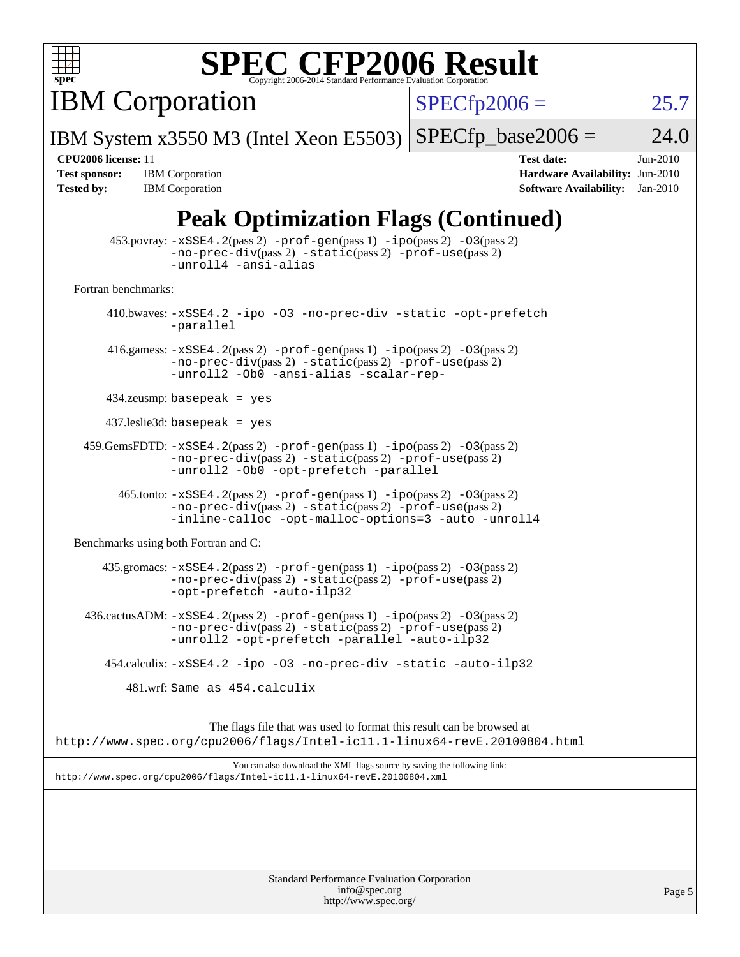

IBM Corporation

 $SPECfp2006 = 25.7$  $SPECfp2006 = 25.7$ 

IBM System x3550 M3 (Intel Xeon E5503)  $SPECfp\_base2006 = 24.0$ 

**[Tested by:](http://www.spec.org/auto/cpu2006/Docs/result-fields.html#Testedby)** IBM Corporation **[Software Availability:](http://www.spec.org/auto/cpu2006/Docs/result-fields.html#SoftwareAvailability)** Jan-2010

**[CPU2006 license:](http://www.spec.org/auto/cpu2006/Docs/result-fields.html#CPU2006license)** 11 **[Test date:](http://www.spec.org/auto/cpu2006/Docs/result-fields.html#Testdate)** Jun-2010 **[Test sponsor:](http://www.spec.org/auto/cpu2006/Docs/result-fields.html#Testsponsor)** IBM Corporation **[Hardware Availability:](http://www.spec.org/auto/cpu2006/Docs/result-fields.html#HardwareAvailability)** Jun-2010

### **[Peak Optimization Flags \(Continued\)](http://www.spec.org/auto/cpu2006/Docs/result-fields.html#PeakOptimizationFlags)**

|                                      | $\sum_{i=1}^{n}$                                                                                                                                                                                            |
|--------------------------------------|-------------------------------------------------------------------------------------------------------------------------------------------------------------------------------------------------------------|
|                                      | $453.$ povray: $-xSSE4.2(pass2)$ -prof-gen $(pass1)$ -ipo $(pass2)$ -03 $(pass2)$<br>-no-prec-div(pass 2) -static(pass 2) -prof-use(pass 2)<br>-unroll4 -ansi-alias                                         |
| Fortran benchmarks:                  |                                                                                                                                                                                                             |
|                                      | 410.bwaves: -xSSE4.2 -ipo -03 -no-prec-div -static -opt-prefetch<br>-parallel                                                                                                                               |
|                                      | 416.gamess: $-xSSE4$ . 2(pass 2) $-prof-gen(pass 1) -ipo(pass 2) -03(pass 2)$<br>$-no-prec-div(pass 2) -static(pass 2) -prof-use(pass 2)$<br>-unroll2 -Ob0 -ansi-alias -scalar-rep-                         |
|                                      | $434$ .zeusmp: basepeak = yes                                                                                                                                                                               |
|                                      | $437$ leslie3d: basepeak = yes                                                                                                                                                                              |
|                                      | $459.GemsFDTD: -xSSE4.2(pass 2) -prof-gen(pass 1) -ipo(pass 2) -03(pass 2)$<br>-no-prec-div(pass 2) -static(pass 2) -prof-use(pass 2)<br>-unroll2 -Ob0 -opt-prefetch -parallel                              |
|                                      | 465.tonto: -xSSE4.2(pass 2) -prof-gen(pass 1) -ipo(pass 2) -03(pass 2)<br>$-no\text{-prec-div}(pass 2)$ $-static(pass 2)$ $-prof\text{-use}(pass 2)$<br>-inline-calloc -opt-malloc-options=3 -auto -unroll4 |
| Benchmarks using both Fortran and C: |                                                                                                                                                                                                             |
|                                      | 435.gromacs: -xSSE4.2(pass 2) -prof-gen(pass 1) -ipo(pass 2) -03(pass 2)<br>-no-prec-div(pass 2) -static(pass 2) -prof-use(pass 2)<br>-opt-prefetch -auto-ilp32                                             |
|                                      | $436.cactusADM: -xSSE4.2(pass 2) -prof-gen(pass 1) -ipo(pass 2) -03(pass 2)$<br>-no-prec-div(pass 2) -static(pass 2) -prof-use(pass 2)<br>-unroll2 -opt-prefetch -parallel -auto-ilp32                      |
|                                      | 454.calculix: -xSSE4.2 -ipo -03 -no-prec-div -static -auto-ilp32                                                                                                                                            |
|                                      | 481.wrf: Same as 454.calculix                                                                                                                                                                               |
|                                      | The flags file that was used to format this result can be browsed at                                                                                                                                        |
|                                      | http://www.spec.org/cpu2006/flags/Intel-ic11.1-linux64-revE.20100804.html                                                                                                                                   |
|                                      | You can also download the XML flags source by saving the following link:<br>http://www.spec.org/cpu2006/flags/Intel-ic11.1-linux64-revE.20100804.xml                                                        |
|                                      |                                                                                                                                                                                                             |
|                                      |                                                                                                                                                                                                             |
|                                      |                                                                                                                                                                                                             |
|                                      | Standard Performance Evaluation Corneration                                                                                                                                                                 |